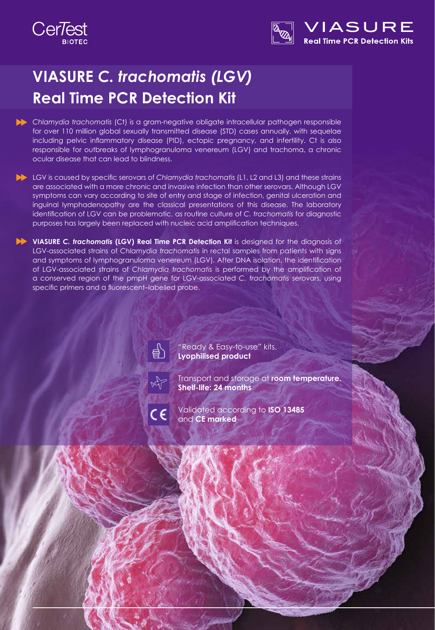



# **VIASURE** *C. trachomatis (LGV)*  **Real Time PCR Detection Kit**

*Chlamydia trachomatis* (Ct) is a gram-negative obligate intracellular pathogen responsible for over 110 million global sexually transmitted disease (STD) cases annually, with sequelae including pelvic inflammatory disease (PID), ectopic pregnancy, and infertility. Ct is also responsible for outbreaks of lymphogranuloma venereum (LGV) and trachoma, a chronic ocular disease that can lead to blindness.

LGV is caused by specific serovars of *Chlamydia trachomatis* (L1, L2 and L3) and these strains are associated with a more chronic and invasive infection than other serovars. Although LGV symptoms can vary according to site of entry and stage of infection, genital ulceration and inguinal lymphadenopathy are the classical presentations of this disease. The laboratory identification of LGV can be problematic, as routine culture of *C. trachomatis* for diagnostic purposes has largely been replaced with nucleic acid amplification techniques.

**VIASURE** *C. trachomatis* **(LGV) Real Time PCR Detection Kit** is designed for the diagnosis of LGV-associated strains of *Chlamydia trachomatis* in rectal samples from patients with signs and symptoms of lymphogranuloma venereum (LGV). After DNA isolation, the identification of LGV-associated strains of *Chlamydia trachomatis* is performed by the amplification of a conserved region of the pmpH gene for LGV-associated *C. trachomatis* serovars, using specific primers and a fluorescent–labelled probe.



"Ready & Easy-to-use" kits. **Lyophilised product**

Transport and storage at **room temperature. Shelf-life: 24 months**



Validated according to **ISO 13485** and **CE marked**